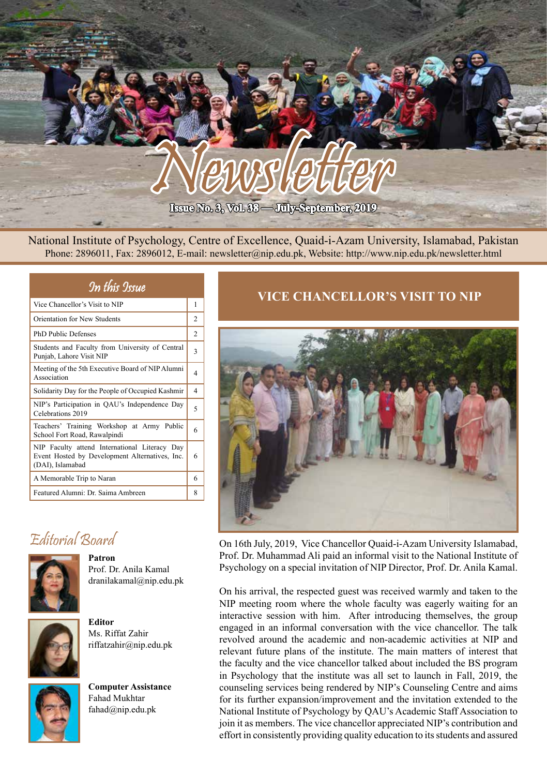

National Institute of Psychology, Centre of Excellence, Quaid-i-Azam University, Islamabad, Pakistan Phone: 2896011, Fax: 2896012, E-mail: newsletter@nip.edu.pk, Website: http://www.nip.edu.pk/newsletter.html

| In this Issue                                                                                                       |                       |
|---------------------------------------------------------------------------------------------------------------------|-----------------------|
| Vice Chancellor's Visit to NIP                                                                                      | 1                     |
| Orientation for New Students                                                                                        | 2                     |
| <b>PhD Public Defenses</b>                                                                                          | $\overline{2}$        |
| Students and Faculty from University of Central<br>Punjab, Lahore Visit NIP                                         | 3                     |
| Meeting of the 5th Executive Board of NIP Alumni<br>Association                                                     | $\overline{4}$        |
| Solidarity Day for the People of Occupied Kashmir                                                                   | $\boldsymbol{\Delta}$ |
| NIP's Participation in QAU's Independence Day<br>Celebrations 2019                                                  | 5                     |
| Teachers' Training Workshop at Army Public<br>School Fort Road, Rawalpindi                                          | 6                     |
| NIP Faculty attend International Literacy Day<br>Event Hosted by Development Alternatives, Inc.<br>(DAI), Islamabad | 6                     |
| A Memorable Trip to Naran                                                                                           | 6                     |
| Featured Alumni: Dr. Saima Ambreen                                                                                  | 8                     |

# Editorial Board



**Patron** Prof. Dr. Anila Kamal dranilakamal@nip.edu.pk



Ms. Riffat Zahir riffatzahir@nip.edu.pk



**Computer Assistance** Fahad Mukhtar fahad@nip.edu.pk

# **VICE CHANCELLOR'S VISIT TO NIP**



On 16th July, 2019, Vice Chancellor Quaid-i-Azam University Islamabad, Prof. Dr. Muhammad Ali paid an informal visit to the National Institute of Psychology on a special invitation of NIP Director, Prof. Dr. Anila Kamal.

On his arrival, the respected guest was received warmly and taken to the NIP meeting room where the whole faculty was eagerly waiting for an interactive session with him. After introducing themselves, the group engaged in an informal conversation with the vice chancellor. The talk revolved around the academic and non-academic activities at NIP and relevant future plans of the institute. The main matters of interest that the faculty and the vice chancellor talked about included the BS program in Psychology that the institute was all set to launch in Fall, 2019, the counseling services being rendered by NIP's Counseling Centre and aims for its further expansion/improvement and the invitation extended to the National Institute of Psychology by QAU's Academic Staff Association to join it as members. The vice chancellor appreciated NIP's contribution and effort in consistently providing quality education to its students and assured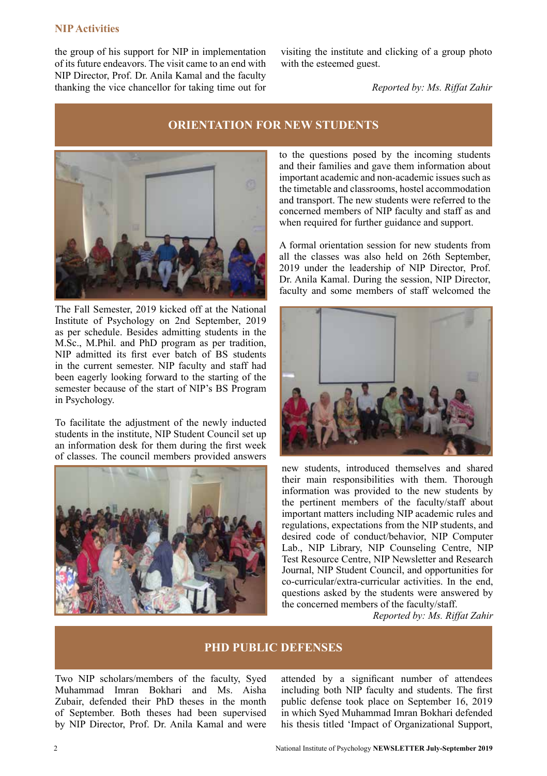#### **NIP Activities**

the group of his support for NIP in implementation of its future endeavors. The visit came to an end with NIP Director, Prof. Dr. Anila Kamal and the faculty thanking the vice chancellor for taking time out for visiting the institute and clicking of a group photo with the esteemed guest.

*Reported by: Ms. Riffat Zahir*

#### **ORIENTATION FOR NEW STUDENTS**



The Fall Semester, 2019 kicked off at the National Institute of Psychology on 2nd September, 2019 as per schedule. Besides admitting students in the M.Sc., M.Phil. and PhD program as per tradition, NIP admitted its first ever batch of BS students in the current semester. NIP faculty and staff had been eagerly looking forward to the starting of the semester because of the start of NIP's BS Program in Psychology.

To facilitate the adjustment of the newly inducted students in the institute, NIP Student Council set up an information desk for them during the first week of classes. The council members provided answers



to the questions posed by the incoming students and their families and gave them information about important academic and non-academic issues such as the timetable and classrooms, hostel accommodation and transport. The new students were referred to the concerned members of NIP faculty and staff as and when required for further guidance and support.

A formal orientation session for new students from all the classes was also held on 26th September, 2019 under the leadership of NIP Director, Prof. Dr. Anila Kamal. During the session, NIP Director, faculty and some members of staff welcomed the



new students, introduced themselves and shared their main responsibilities with them. Thorough information was provided to the new students by the pertinent members of the faculty/staff about important matters including NIP academic rules and regulations, expectations from the NIP students, and desired code of conduct/behavior, NIP Computer Lab., NIP Library, NIP Counseling Centre, NIP Test Resource Centre, NIP Newsletter and Research Journal, NIP Student Council, and opportunities for co-curricular/extra-curricular activities. In the end, questions asked by the students were answered by the concerned members of the faculty/staff.

*Reported by: Ms. Riffat Zahir*

#### **PHD PUBLIC DEFENSES**

Two NIP scholars/members of the faculty, Syed Muhammad Imran Bokhari and Ms. Aisha Zubair, defended their PhD theses in the month of September. Both theses had been supervised by NIP Director, Prof. Dr. Anila Kamal and were attended by a significant number of attendees including both NIP faculty and students. The first public defense took place on September 16, 2019 in which Syed Muhammad Imran Bokhari defended his thesis titled 'Impact of Organizational Support,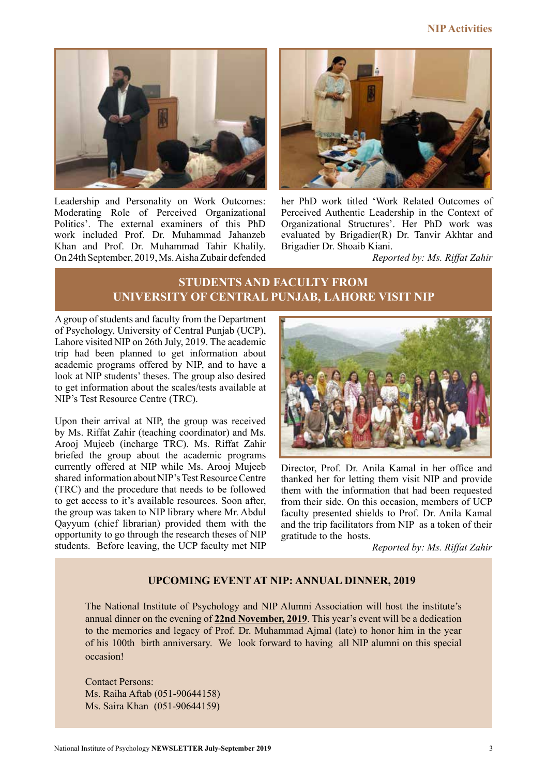#### **NIP Activities**



Leadership and Personality on Work Outcomes: Moderating Role of Perceived Organizational Politics'. The external examiners of this PhD work included Prof. Dr. Muhammad Jahanzeb Khan and Prof. Dr. Muhammad Tahir Khalily. On 24th September, 2019, Ms. Aisha Zubair defended



her PhD work titled 'Work Related Outcomes of Perceived Authentic Leadership in the Context of Organizational Structures'. Her PhD work was evaluated by Brigadier(R) Dr. Tanvir Akhtar and Brigadier Dr. Shoaib Kiani.

*Reported by: Ms. Riffat Zahir*

# **STUDENTS AND FACULTY FROM UNIVERSITY OF CENTRAL PUNJAB, LAHORE VISIT NIP**

A group of students and faculty from the Department of Psychology, University of Central Punjab (UCP), Lahore visited NIP on 26th July, 2019. The academic trip had been planned to get information about academic programs offered by NIP, and to have a look at NIP students' theses. The group also desired to get information about the scales/tests available at NIP's Test Resource Centre (TRC).

Upon their arrival at NIP, the group was received by Ms. Riffat Zahir (teaching coordinator) and Ms. Arooj Mujeeb (incharge TRC). Ms. Riffat Zahir briefed the group about the academic programs currently offered at NIP while Ms. Arooj Mujeeb shared information about NIP's Test Resource Centre (TRC) and the procedure that needs to be followed to get access to it's available resources. Soon after, the group was taken to NIP library where Mr. Abdul Qayyum (chief librarian) provided them with the opportunity to go through the research theses of NIP students. Before leaving, the UCP faculty met NIP



Director, Prof. Dr. Anila Kamal in her office and thanked her for letting them visit NIP and provide them with the information that had been requested from their side. On this occasion, members of UCP faculty presented shields to Prof. Dr. Anila Kamal and the trip facilitators from NIP as a token of their gratitude to the hosts.

*Reported by: Ms. Riffat Zahir*

#### **UPCOMING EVENT AT NIP: ANNUAL DINNER, 2019**

The National Institute of Psychology and NIP Alumni Association will host the institute's annual dinner on the evening of **22nd November, 2019**. This year's event will be a dedication to the memories and legacy of Prof. Dr. Muhammad Ajmal (late) to honor him in the year of his 100th birth anniversary. We look forward to having all NIP alumni on this special occasion!

Contact Persons: Ms. Raiha Aftab (051-90644158) Ms. Saira Khan (051-90644159)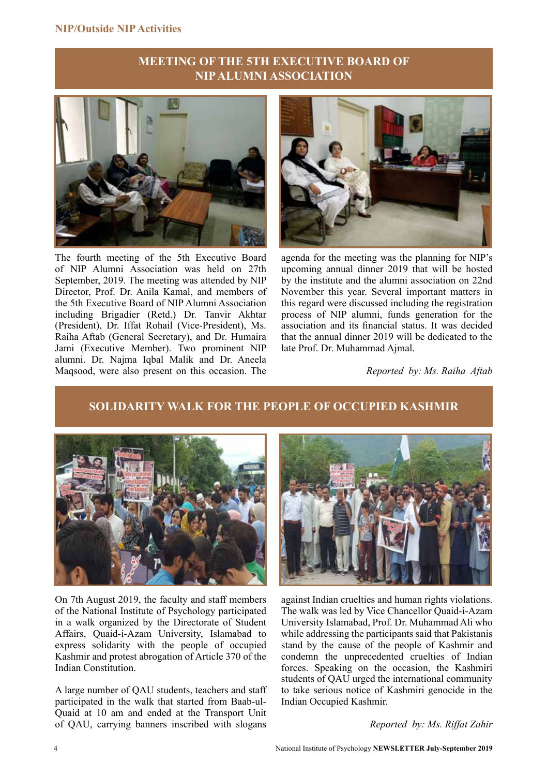#### **MEETING OF THE 5TH EXECUTIVE BOARD OF NIP ALUMNI ASSOCIATION**



The fourth meeting of the 5th Executive Board of NIP Alumni Association was held on 27th September, 2019. The meeting was attended by NIP Director, Prof. Dr. Anila Kamal, and members of the 5th Executive Board of NIP Alumni Association including Brigadier (Retd.) Dr. Tanvir Akhtar (President), Dr. Iffat Rohail (Vice-President), Ms. Raiha Aftab (General Secretary), and Dr. Humaira Jami (Executive Member). Two prominent NIP alumni. Dr. Najma Iqbal Malik and Dr. Aneela Maqsood, were also present on this occasion. The



agenda for the meeting was the planning for NIP's upcoming annual dinner 2019 that will be hosted by the institute and the alumni association on 22nd November this year. Several important matters in this regard were discussed including the registration process of NIP alumni, funds generation for the association and its financial status. It was decided that the annual dinner 2019 will be dedicated to the late Prof. Dr. Muhammad Ajmal.

*Reported by: Ms. Raiha Aftab*

# **SOLIDARITY WALK FOR THE PEOPLE OF OCCUPIED KASHMIR**



On 7th August 2019, the faculty and staff members of the National Institute of Psychology participated in a walk organized by the Directorate of Student Affairs, Quaid-i-Azam University, Islamabad to express solidarity with the people of occupied Kashmir and protest abrogation of Article 370 of the Indian Constitution.

A large number of QAU students, teachers and staff participated in the walk that started from Baab-ul-Quaid at 10 am and ended at the Transport Unit of QAU, carrying banners inscribed with slogans



against Indian cruelties and human rights violations. The walk was led by Vice Chancellor Quaid-i-Azam University Islamabad, Prof. Dr. Muhammad Ali who while addressing the participants said that Pakistanis stand by the cause of the people of Kashmir and condemn the unprecedented cruelties of Indian forces. Speaking on the occasion, the Kashmiri students of QAU urged the international community to take serious notice of Kashmiri genocide in the Indian Occupied Kashmir.

*Reported by: Ms. Riffat Zahir*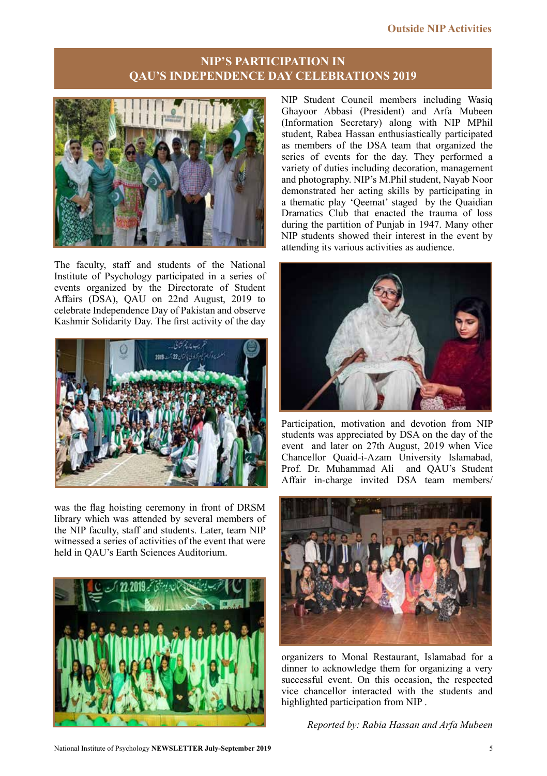# **NIP'S PARTICIPATION IN QAU'S INDEPENDENCE DAY CELEBRATIONS 2019**



The faculty, staff and students of the National Institute of Psychology participated in a series of events organized by the Directorate of Student Affairs (DSA), QAU on 22nd August, 2019 to celebrate Independence Day of Pakistan and observe Kashmir Solidarity Day. The first activity of the day



was the flag hoisting ceremony in front of DRSM library which was attended by several members of the NIP faculty, staff and students. Later, team NIP witnessed a series of activities of the event that were held in QAU's Earth Sciences Auditorium.



NIP Student Council members including Wasiq Ghayoor Abbasi (President) and Arfa Mubeen (Information Secretary) along with NIP MPhil student, Rabea Hassan enthusiastically participated as members of the DSA team that organized the series of events for the day. They performed a variety of duties including decoration, management and photography. NIP's M.Phil student, Nayab Noor demonstrated her acting skills by participating in a thematic play 'Qeemat' staged by the Quaidian Dramatics Club that enacted the trauma of loss during the partition of Punjab in 1947. Many other NIP students showed their interest in the event by attending its various activities as audience.



Participation, motivation and devotion from NIP students was appreciated by DSA on the day of the event and later on 27th August, 2019 when Vice Chancellor Quaid-i-Azam University Islamabad, Prof. Dr. Muhammad Ali and QAU's Student Affair in-charge invited DSA team members/



organizers to Monal Restaurant, Islamabad for a dinner to acknowledge them for organizing a very successful event. On this occasion, the respected vice chancellor interacted with the students and highlighted participation from NIP .

*Reported by: Rabia Hassan and Arfa Mubeen*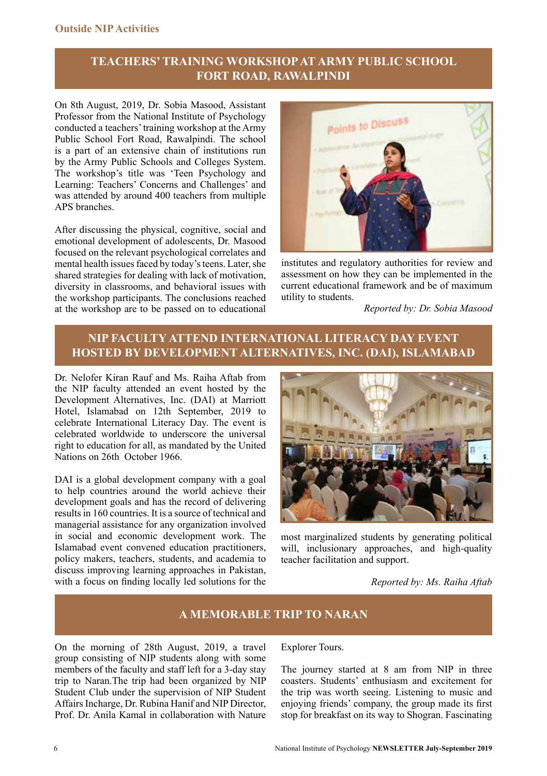# **TEACHERS' TRAINING WORKSHOP AT ARMY PUBLIC SCHOOL FORT ROAD, RAWALPINDI**

On 8th August, 2019, Dr. Sobia Masood, Assistant Professor from the National Institute of Psychology conducted a teachers' training workshop at the Army Public School Fort Road, Rawalpindi. The school is a part of an extensive chain of institutions run by the Army Public Schools and Colleges System. The workshop's title was 'Teen Psychology and Learning: Teachers' Concerns and Challenges' and was attended by around 400 teachers from multiple APS branches.

After discussing the physical, cognitive, social and emotional development of adolescents, Dr. Masood focused on the relevant psychological correlates and mental health issues faced by today's teens. Later, she shared strategies for dealing with lack of motivation, diversity in classrooms, and behavioral issues with the workshop participants. The conclusions reached at the workshop are to be passed on to educational



institutes and regulatory authorities for review and assessment on how they can be implemented in the current educational framework and be of maximum utility to students.

*Reported by: Dr. Sobia Masood*

## **NIP FACULTY ATTEND INTERNATIONAL LITERACY DAY EVENT HOSTED BY DEVELOPMENT ALTERNATIVES, INC. (DAI), ISLAMABAD**

Dr. Nelofer Kiran Rauf and Ms. Raiha Aftab from the NIP faculty attended an event hosted by the Development Alternatives, Inc. (DAI) at Marriott Hotel, Islamabad on 12th September, 2019 to celebrate International Literacy Day. The event is celebrated worldwide to underscore the universal right to education for all, as mandated by the United Nations on 26th October 1966.

DAI is a global development company with a goal to help countries around the world achieve their development goals and has the record of delivering results in 160 countries. It is a source of technical and managerial assistance for any organization involved in social and economic development work. The Islamabad event convened education practitioners, policy makers, teachers, students, and academia to discuss improving learning approaches in Pakistan, with a focus on finding locally led solutions for the



most marginalized students by generating political will, inclusionary approaches, and high-quality teacher facilitation and support.

 *Reported by: Ms. Raiha Aftab*

## **A MEMORABLE TRIP TO NARAN**

On the morning of 28th August, 2019, a travel group consisting of NIP students along with some members of the faculty and staff left for a 3-day stay trip to Naran.The trip had been organized by NIP Student Club under the supervision of NIP Student Affairs Incharge, Dr. Rubina Hanif and NIP Director, Prof. Dr. Anila Kamal in collaboration with Nature Explorer Tours.

The journey started at 8 am from NIP in three coasters. Students' enthusiasm and excitement for the trip was worth seeing. Listening to music and enjoying friends' company, the group made its first stop for breakfast on its way to Shogran. Fascinating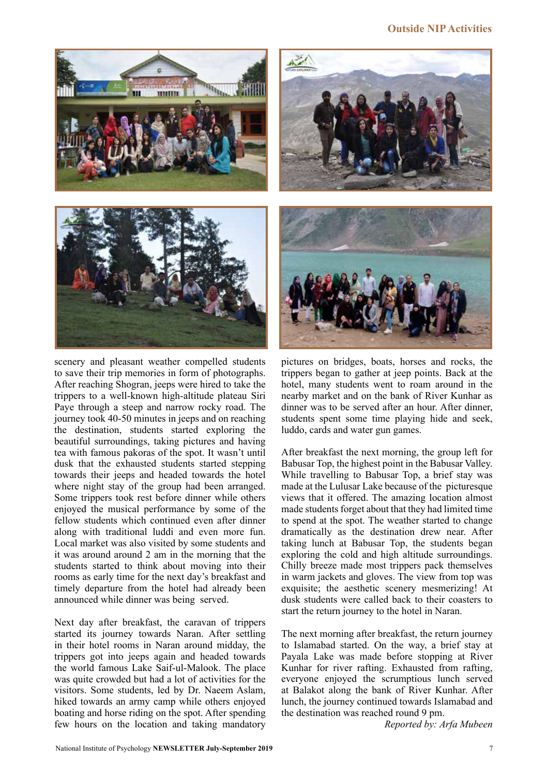## **Outside NIP Activities**



scenery and pleasant weather compelled students to save their trip memories in form of photographs. After reaching Shogran, jeeps were hired to take the trippers to a well-known high-altitude plateau Siri Paye through a steep and narrow rocky road. The journey took 40-50 minutes in jeeps and on reaching the destination, students started exploring the beautiful surroundings, taking pictures and having tea with famous pakoras of the spot. It wasn't until dusk that the exhausted students started stepping towards their jeeps and headed towards the hotel where night stay of the group had been arranged. Some trippers took rest before dinner while others enjoyed the musical performance by some of the fellow students which continued even after dinner along with traditional luddi and even more fun. Local market was also visited by some students and it was around around 2 am in the morning that the students started to think about moving into their rooms as early time for the next day's breakfast and timely departure from the hotel had already been announced while dinner was being served.

Next day after breakfast, the caravan of trippers started its journey towards Naran. After settling in their hotel rooms in Naran around midday, the trippers got into jeeps again and headed towards the world famous Lake Saif-ul-Malook. The place was quite crowded but had a lot of activities for the visitors. Some students, led by Dr. Naeem Aslam, hiked towards an army camp while others enjoyed boating and horse riding on the spot. After spending few hours on the location and taking mandatory



pictures on bridges, boats, horses and rocks, the trippers began to gather at jeep points. Back at the hotel, many students went to roam around in the nearby market and on the bank of River Kunhar as dinner was to be served after an hour. After dinner, students spent some time playing hide and seek, luddo, cards and water gun games.

After breakfast the next morning, the group left for Babusar Top, the highest point in the Babusar Valley. While travelling to Babusar Top, a brief stay was made at the Lulusar Lake because of the picturesque views that it offered. The amazing location almost made students forget about that they had limited time to spend at the spot. The weather started to change dramatically as the destination drew near. After taking lunch at Babusar Top, the students began exploring the cold and high altitude surroundings. Chilly breeze made most trippers pack themselves in warm jackets and gloves. The view from top was exquisite; the aesthetic scenery mesmerizing! At dusk students were called back to their coasters to start the return journey to the hotel in Naran.

The next morning after breakfast, the return journey to Islamabad started. On the way, a brief stay at Payala Lake was made before stopping at River Kunhar for river rafting. Exhausted from rafting, everyone enjoyed the scrumptious lunch served at Balakot along the bank of River Kunhar. After lunch, the journey continued towards Islamabad and the destination was reached round 9 pm.

*Reported by: Arfa Mubeen*